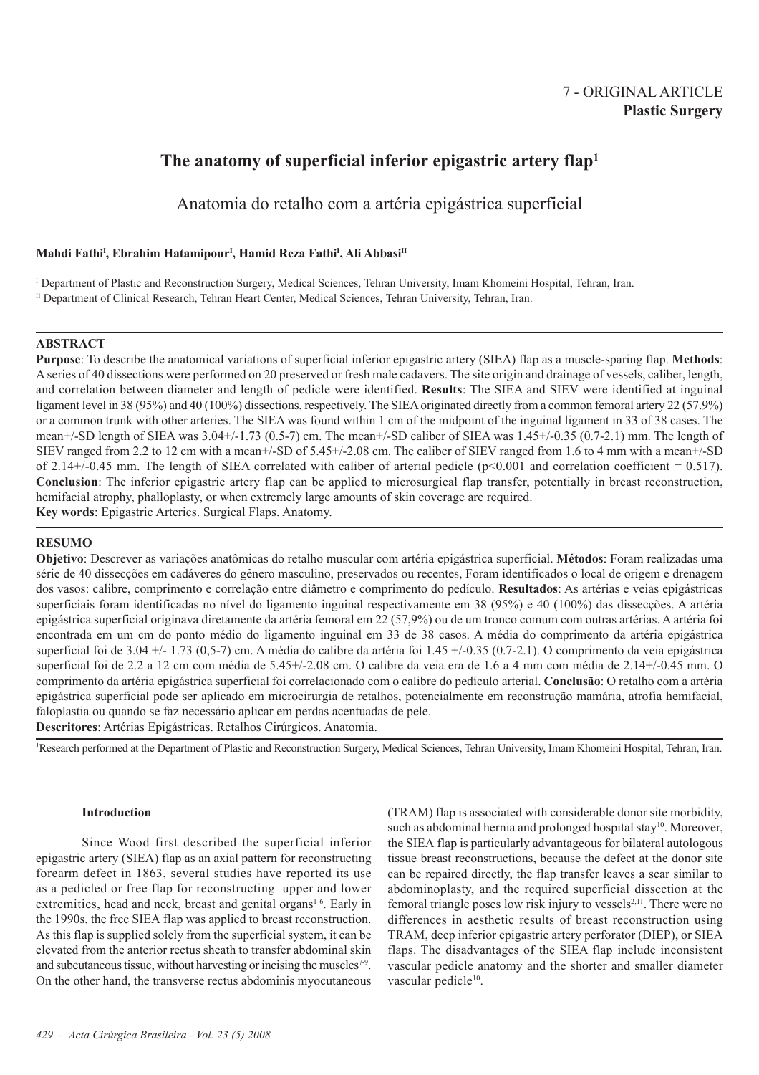# 7 - ORIGINAL ARTICLE **Plastic Surgery**

# **The anatomy of superficial inferior epigastric artery flap1**

Anatomia do retalho com a artéria epigástrica superficial

# **Mahdi FathiI , Ebrahim HatamipourI , Hamid Reza FathiI , Ali AbbasiII**

I Department of Plastic and Reconstruction Surgery, Medical Sciences, Tehran University, Imam Khomeini Hospital, Tehran, Iran.

II Department of Clinical Research, Tehran Heart Center, Medical Sciences, Tehran University, Tehran, Iran.

# **ABSTRACT**

**Purpose**: To describe the anatomical variations of superficial inferior epigastric artery (SIEA) flap as a muscle-sparing flap. **Methods**: A series of 40 dissections were performed on 20 preserved or fresh male cadavers. The site origin and drainage of vessels, caliber, length, and correlation between diameter and length of pedicle were identified. **Results**: The SIEA and SIEV were identified at inguinal ligament level in 38 (95%) and 40 (100%) dissections, respectively. The SIEA originated directly from a common femoral artery 22 (57.9%) or a common trunk with other arteries. The SIEA was found within 1 cm of the midpoint of the inguinal ligament in 33 of 38 cases. The mean+/-SD length of SIEA was 3.04+/-1.73 (0.5-7) cm. The mean+/-SD caliber of SIEA was 1.45+/-0.35 (0.7-2.1) mm. The length of SIEV ranged from 2.2 to 12 cm with a mean+/-SD of 5.45+/-2.08 cm. The caliber of SIEV ranged from 1.6 to 4 mm with a mean+/-SD of 2.14+/-0.45 mm. The length of SIEA correlated with caliber of arterial pedicle (p<0.001 and correlation coefficient = 0.517). **Conclusion**: The inferior epigastric artery flap can be applied to microsurgical flap transfer, potentially in breast reconstruction, hemifacial atrophy, phalloplasty, or when extremely large amounts of skin coverage are required. **Key words**: Epigastric Arteries. Surgical Flaps. Anatomy.

## **RESUMO**

**Objetivo**: Descrever as variações anatômicas do retalho muscular com artéria epigástrica superficial. **Métodos**: Foram realizadas uma série de 40 dissecções em cadáveres do gênero masculino, preservados ou recentes, Foram identificados o local de origem e drenagem dos vasos: calibre, comprimento e correlação entre diâmetro e comprimento do pedículo. **Resultados**: As artérias e veias epigástricas superficiais foram identificadas no nível do ligamento inguinal respectivamente em 38 (95%) e 40 (100%) das dissecções. A artéria epigástrica superficial originava diretamente da artéria femoral em 22 (57,9%) ou de um tronco comum com outras artérias. A artéria foi encontrada em um cm do ponto médio do ligamento inguinal em 33 de 38 casos. A média do comprimento da artéria epigástrica superficial foi de 3.04 +/- 1.73 (0.5-7) cm. A média do calibre da artéria foi 1.45 +/-0.35 (0.7-2.1). O comprimento da veia epigástrica superficial foi de 2.2 a 12 cm com média de 5.45+/-2.08 cm. O calibre da veia era de 1.6 a 4 mm com média de 2.14+/-0.45 mm. O comprimento da artéria epigástrica superficial foi correlacionado com o calibre do pedículo arterial. **Conclusão**: O retalho com a artéria epigástrica superficial pode ser aplicado em microcirurgia de retalhos, potencialmente em reconstrução mamária, atrofia hemifacial, faloplastia ou quando se faz necessário aplicar em perdas acentuadas de pele. **Descritores**: Artérias Epigástricas. Retalhos Cirúrgicos. Anatomia.

1 Research performed at the Department of Plastic and Reconstruction Surgery, Medical Sciences, Tehran University, Imam Khomeini Hospital, Tehran, Iran.

## **Introduction**

Since Wood first described the superficial inferior epigastric artery (SIEA) flap as an axial pattern for reconstructing forearm defect in 1863, several studies have reported its use as a pedicled or free flap for reconstructing upper and lower extremities, head and neck, breast and genital organs<sup>1-6</sup>. Early in the 1990s, the free SIEA flap was applied to breast reconstruction. As this flap is supplied solely from the superficial system, it can be elevated from the anterior rectus sheath to transfer abdominal skin and subcutaneous tissue, without harvesting or incising the muscles<sup>7-9</sup>. On the other hand, the transverse rectus abdominis myocutaneous

(TRAM) flap is associated with considerable donor site morbidity, such as abdominal hernia and prolonged hospital stay<sup>10</sup>. Moreover, the SIEA flap is particularly advantageous for bilateral autologous tissue breast reconstructions, because the defect at the donor site can be repaired directly, the flap transfer leaves a scar similar to abdominoplasty, and the required superficial dissection at the femoral triangle poses low risk injury to vessels<sup>2,11</sup>. There were no differences in aesthetic results of breast reconstruction using TRAM, deep inferior epigastric artery perforator (DIEP), or SIEA flaps. The disadvantages of the SIEA flap include inconsistent vascular pedicle anatomy and the shorter and smaller diameter vascular pedicle<sup>10</sup>.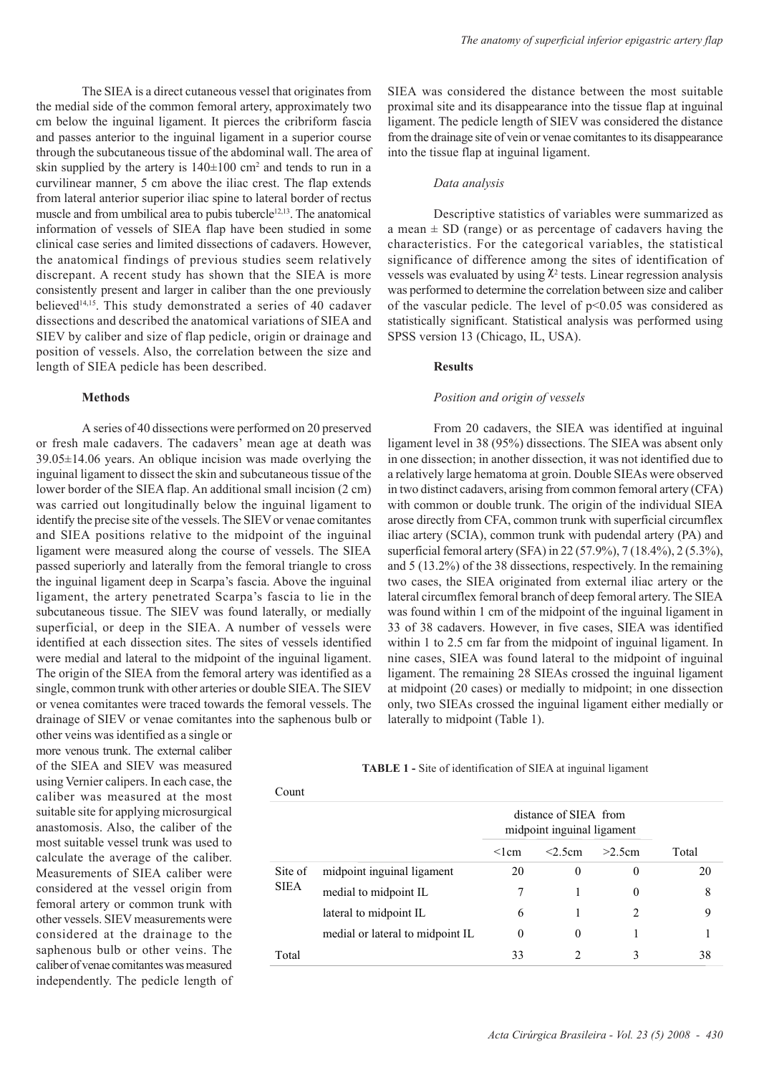The SIEA is a direct cutaneous vessel that originates from the medial side of the common femoral artery, approximately two cm below the inguinal ligament. It pierces the cribriform fascia and passes anterior to the inguinal ligament in a superior course through the subcutaneous tissue of the abdominal wall. The area of skin supplied by the artery is  $140\pm100$  cm<sup>2</sup> and tends to run in a curvilinear manner, 5 cm above the iliac crest. The flap extends from lateral anterior superior iliac spine to lateral border of rectus muscle and from umbilical area to pubis tubercle<sup>12,13</sup>. The anatomical information of vessels of SIEA flap have been studied in some clinical case series and limited dissections of cadavers. However, the anatomical findings of previous studies seem relatively discrepant. A recent study has shown that the SIEA is more consistently present and larger in caliber than the one previously believed<sup>14,15</sup>. This study demonstrated a series of 40 cadaver dissections and described the anatomical variations of SIEA and SIEV by caliber and size of flap pedicle, origin or drainage and position of vessels. Also, the correlation between the size and length of SIEA pedicle has been described.

## **Methods**

A series of 40 dissections were performed on 20 preserved or fresh male cadavers. The cadavers' mean age at death was 39.05±14.06 years. An oblique incision was made overlying the inguinal ligament to dissect the skin and subcutaneous tissue of the lower border of the SIEA flap. An additional small incision (2 cm) was carried out longitudinally below the inguinal ligament to identify the precise site of the vessels. The SIEV or venae comitantes and SIEA positions relative to the midpoint of the inguinal ligament were measured along the course of vessels. The SIEA passed superiorly and laterally from the femoral triangle to cross the inguinal ligament deep in Scarpa's fascia. Above the inguinal ligament, the artery penetrated Scarpa's fascia to lie in the subcutaneous tissue. The SIEV was found laterally, or medially superficial, or deep in the SIEA. A number of vessels were identified at each dissection sites. The sites of vessels identified were medial and lateral to the midpoint of the inguinal ligament. The origin of the SIEA from the femoral artery was identified as a single, common trunk with other arteries or double SIEA. The SIEV or venea comitantes were traced towards the femoral vessels. The drainage of SIEV or venae comitantes into the saphenous bulb or

other veins was identified as a single or more venous trunk. The external caliber of the SIEA and SIEV was measured using Vernier calipers. In each case, the caliber was measured at the most suitable site for applying microsurgical anastomosis. Also, the caliber of the most suitable vessel trunk was used to calculate the average of the caliber. Measurements of SIEA caliber were considered at the vessel origin from femoral artery or common trunk with other vessels. SIEV measurements were considered at the drainage to the saphenous bulb or other veins. The caliber of venae comitantes was measured independently. The pedicle length of SIEA was considered the distance between the most suitable proximal site and its disappearance into the tissue flap at inguinal ligament. The pedicle length of SIEV was considered the distance from the drainage site of vein or venae comitantes to its disappearance into the tissue flap at inguinal ligament.

## *Data analysis*

Descriptive statistics of variables were summarized as a mean  $\pm$  SD (range) or as percentage of cadavers having the characteristics. For the categorical variables, the statistical significance of difference among the sites of identification of vessels was evaluated by using  $\chi^2$  tests. Linear regression analysis was performed to determine the correlation between size and caliber of the vascular pedicle. The level of  $p<0.05$  was considered as statistically significant. Statistical analysis was performed using SPSS version 13 (Chicago, IL, USA).

## **Results**

#### *Position and origin of vessels*

From 20 cadavers, the SIEA was identified at inguinal ligament level in 38 (95%) dissections. The SIEA was absent only in one dissection; in another dissection, it was not identified due to a relatively large hematoma at groin. Double SIEAs were observed in two distinct cadavers, arising from common femoral artery (CFA) with common or double trunk. The origin of the individual SIEA arose directly from CFA, common trunk with superficial circumflex iliac artery (SCIA), common trunk with pudendal artery (PA) and superficial femoral artery (SFA) in 22 (57.9%), 7 (18.4%), 2 (5.3%), and 5 (13.2%) of the 38 dissections, respectively. In the remaining two cases, the SIEA originated from external iliac artery or the lateral circumflex femoral branch of deep femoral artery. The SIEA was found within 1 cm of the midpoint of the inguinal ligament in 33 of 38 cadavers. However, in five cases, SIEA was identified within 1 to 2.5 cm far from the midpoint of inguinal ligament. In nine cases, SIEA was found lateral to the midpoint of inguinal ligament. The remaining 28 SIEAs crossed the inguinal ligament at midpoint (20 cases) or medially to midpoint; in one dissection only, two SIEAs crossed the inguinal ligament either medially or laterally to midpoint (Table 1).

**TABLE 1 -** Site of identification of SIEA at inguinal ligament

| Count                  |                                  |                                                     |                               |               |       |
|------------------------|----------------------------------|-----------------------------------------------------|-------------------------------|---------------|-------|
|                        |                                  | distance of SIEA from<br>midpoint inguinal ligament |                               |               |       |
|                        |                                  | $<$ l cm                                            | $<$ 2.5 $cm$                  | >2.5cm        | Total |
| Site of<br><b>SIEA</b> | midpoint inguinal ligament       | 20                                                  | $\theta$                      | $\theta$      | 20    |
|                        | medial to midpoint IL            |                                                     |                               | $\theta$      | 8     |
|                        | lateral to midpoint IL           | 6                                                   |                               | $\mathcal{D}$ | 9     |
|                        | medial or lateral to midpoint IL | $\theta$                                            | $\theta$                      | 1             |       |
| Total                  |                                  | 33                                                  | $\mathfrak{D}_{\mathfrak{p}}$ | 3             | 38    |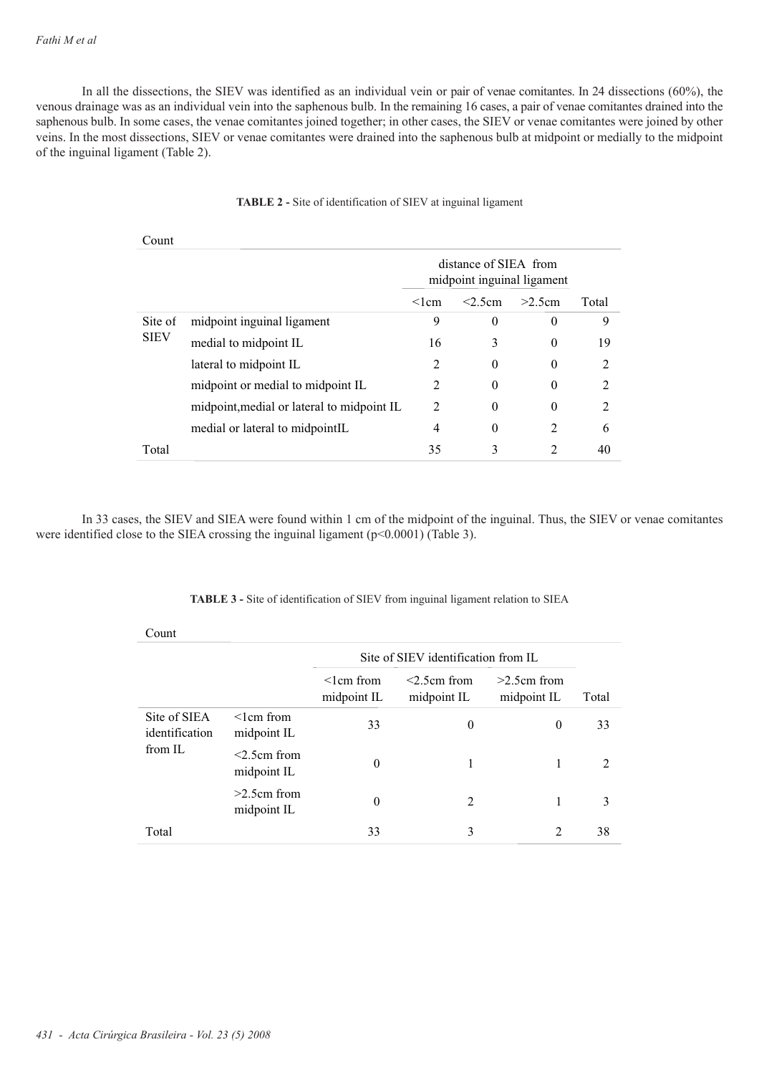In all the dissections, the SIEV was identified as an individual vein or pair of venae comitantes. In 24 dissections (60%), the venous drainage was as an individual vein into the saphenous bulb. In the remaining 16 cases, a pair of venae comitantes drained into the saphenous bulb. In some cases, the venae comitantes joined together; in other cases, the SIEV or venae comitantes were joined by other veins. In the most dissections, SIEV or venae comitantes were drained into the saphenous bulb at midpoint or medially to the midpoint of the inguinal ligament (Table 2).

| Count                  |                                            |                                                     |            |                |                |
|------------------------|--------------------------------------------|-----------------------------------------------------|------------|----------------|----------------|
|                        |                                            | distance of SIEA from<br>midpoint inguinal ligament |            |                |                |
|                        |                                            | $\leq$ lcm                                          | $< 2.5$ cm | >2.5cm         | Total          |
| Site of<br><b>SIEV</b> | midpoint inguinal ligament                 | 9                                                   | 0          | $\theta$       | 9              |
|                        | medial to midpoint IL                      | 16                                                  | 3          | $\Omega$       | 19             |
|                        | lateral to midpoint IL                     | 2                                                   | $\theta$   | $\theta$       | 2              |
|                        | midpoint or medial to midpoint IL          | $\mathfrak{D}$                                      | $\Omega$   | $\Omega$       | $\mathfrak{D}$ |
|                        | midpoint, medial or lateral to midpoint IL | $\mathfrak{D}$                                      | $\theta$   | $\theta$       | $\mathfrak{D}$ |
|                        | medial or lateral to midpointIL            | 4                                                   | $\Omega$   | $\mathfrak{D}$ | 6              |
| Total                  |                                            | 35                                                  | 3          | 2              | 40             |

# **TABLE 2 -** Site of identification of SIEV at inguinal ligament

In 33 cases, the SIEV and SIEA were found within 1 cm of the midpoint of the inguinal. Thus, the SIEV or venae comitantes were identified close to the SIEA crossing the inguinal ligament (p<0.0001) (Table 3).

**TABLE 3 -** Site of identification of SIEV from inguinal ligament relation to SIEA

| Count                          |                                 |                                     |                               |                              |       |
|--------------------------------|---------------------------------|-------------------------------------|-------------------------------|------------------------------|-------|
|                                |                                 | Site of SIEV identification from IL |                               |                              |       |
|                                |                                 | $\leq$ l cm from<br>midpoint IL     | $<$ 2.5cm from<br>midpoint IL | $>2.5cm$ from<br>midpoint IL | Total |
| Site of SIEA<br>identification | $\leq$ l cm from<br>midpoint IL | 33                                  | $\theta$                      | $\boldsymbol{0}$             | 33    |
| from IL                        | $<$ 2.5cm from<br>midpoint IL   | $\theta$                            | 1                             | 1                            | 2     |
|                                | $>2.5$ cm from<br>midpoint IL   | $\theta$                            | $\mathfrak{D}$                | 1                            | 3     |
| Total                          |                                 | 33                                  | 3                             | $\mathfrak{D}$               | 38    |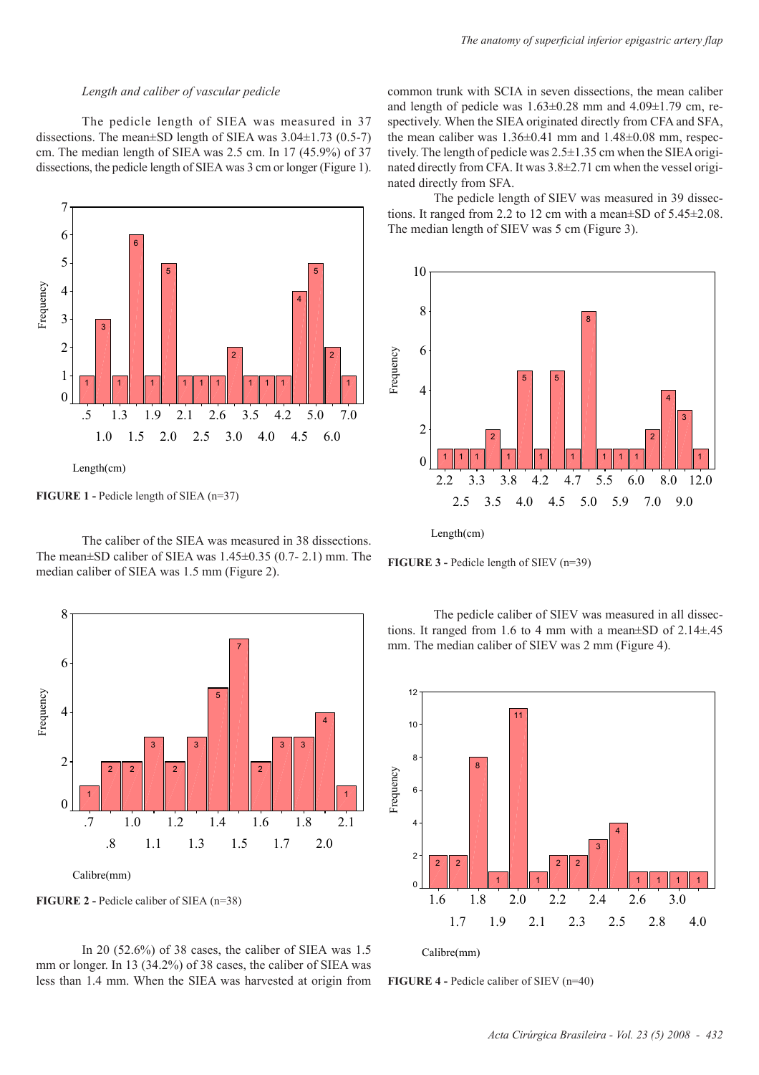## *Length and caliber of vascular pedicle*

The pedicle length of SIEA was measured in 37 dissections. The mean±SD length of SIEA was 3.04±1.73 (0.5-7) cm. The median length of SIEA was 2.5 cm. In 17 (45.9%) of 37 dissections, the pedicle length of SIEA was 3 cm or longer (Figure 1).



**FIGURE 1 -** Pedicle length of SIEA (n=37)

The caliber of the SIEA was measured in 38 dissections. The mean±SD caliber of SIEA was 1.45±0.35 (0.7- 2.1) mm. The median caliber of SIEA was 1.5 mm (Figure 2).



**FIGURE 2 -** Pedicle caliber of SIEA (n=38)

In 20 (52.6%) of 38 cases, the caliber of SIEA was 1.5 mm or longer. In 13 (34.2%) of 38 cases, the caliber of SIEA was less than 1.4 mm. When the SIEA was harvested at origin from common trunk with SCIA in seven dissections, the mean caliber and length of pedicle was  $1.63\pm0.28$  mm and  $4.09\pm1.79$  cm, respectively. When the SIEA originated directly from CFA and SFA, the mean caliber was  $1.36\pm0.41$  mm and  $1.48\pm0.08$  mm, respectively. The length of pedicle was 2.5±1.35 cm when the SIEA originated directly from CFA. It was 3.8±2.71 cm when the vessel originated directly from SFA.

The pedicle length of SIEV was measured in 39 dissections. It ranged from 2.2 to 12 cm with a mean±SD of 5.45±2.08. The median length of SIEV was 5 cm (Figure 3).



Length(cm)

**FIGURE 3 -** Pedicle length of SIEV (n=39)

The pedicle caliber of SIEV was measured in all dissections. It ranged from 1.6 to 4 mm with a mean $\pm$ SD of 2.14 $\pm$ .45 mm. The median caliber of SIEV was 2 mm (Figure 4).



Calibre(mm)

**FIGURE 4 -** Pedicle caliber of SIEV (n=40)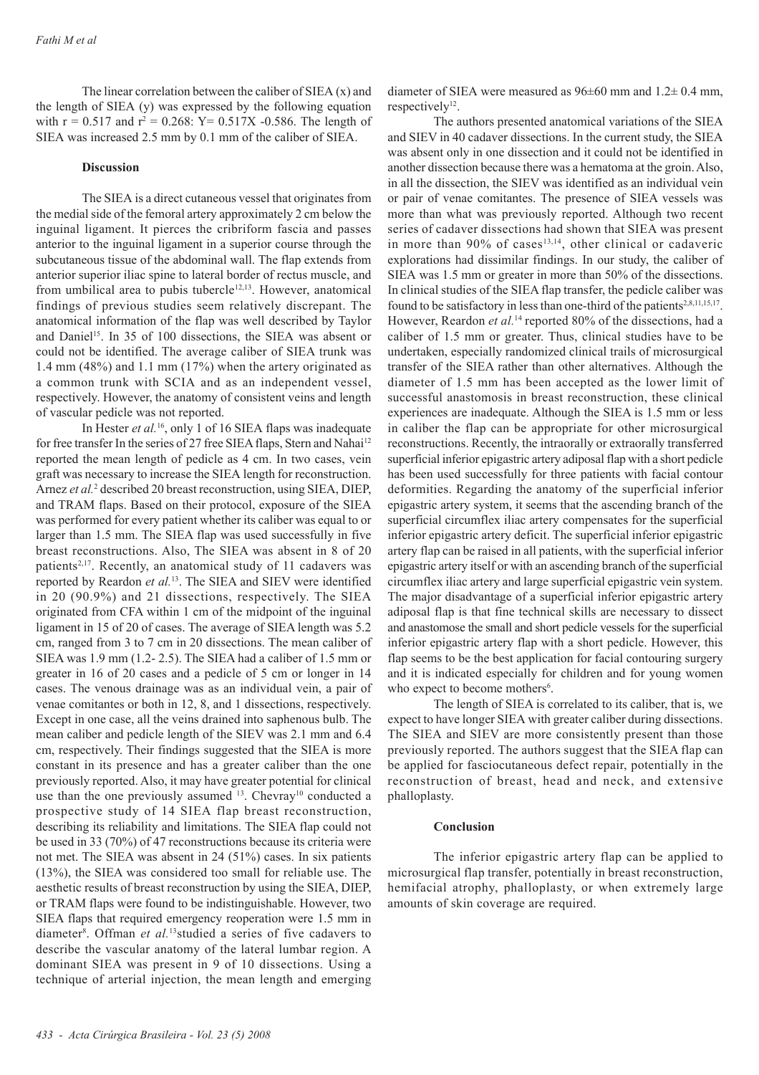The linear correlation between the caliber of SIEA (x) and the length of SIEA (y) was expressed by the following equation with  $r = 0.517$  and  $r^2 = 0.268$ : Y = 0.517X -0.586. The length of SIEA was increased 2.5 mm by 0.1 mm of the caliber of SIEA.

## **Discussion**

The SIEA is a direct cutaneous vessel that originates from the medial side of the femoral artery approximately 2 cm below the inguinal ligament. It pierces the cribriform fascia and passes anterior to the inguinal ligament in a superior course through the subcutaneous tissue of the abdominal wall. The flap extends from anterior superior iliac spine to lateral border of rectus muscle, and from umbilical area to pubis tubercle $12,13$ . However, anatomical findings of previous studies seem relatively discrepant. The anatomical information of the flap was well described by Taylor and Daniel<sup>15</sup>. In 35 of 100 dissections, the SIEA was absent or could not be identified. The average caliber of SIEA trunk was 1.4 mm (48%) and 1.1 mm (17%) when the artery originated as a common trunk with SCIA and as an independent vessel, respectively. However, the anatomy of consistent veins and length of vascular pedicle was not reported.

In Hester *et al.*16, only 1 of 16 SIEA flaps was inadequate for free transfer In the series of 27 free SIEA flaps, Stern and Nahai<sup>12</sup> reported the mean length of pedicle as 4 cm. In two cases, vein graft was necessary to increase the SIEA length for reconstruction. Arnez et al.<sup>2</sup> described 20 breast reconstruction, using SIEA, DIEP, and TRAM flaps. Based on their protocol, exposure of the SIEA was performed for every patient whether its caliber was equal to or larger than 1.5 mm. The SIEA flap was used successfully in five breast reconstructions. Also, The SIEA was absent in 8 of 20 patients<sup>2,17</sup>. Recently, an anatomical study of 11 cadavers was reported by Reardon *et al.*13. The SIEA and SIEV were identified in 20 (90.9%) and 21 dissections, respectively. The SIEA originated from CFA within 1 cm of the midpoint of the inguinal ligament in 15 of 20 of cases. The average of SIEA length was 5.2 cm, ranged from 3 to 7 cm in 20 dissections. The mean caliber of SIEA was 1.9 mm (1.2- 2.5). The SIEA had a caliber of 1.5 mm or greater in 16 of 20 cases and a pedicle of 5 cm or longer in 14 cases. The venous drainage was as an individual vein, a pair of venae comitantes or both in 12, 8, and 1 dissections, respectively. Except in one case, all the veins drained into saphenous bulb. The mean caliber and pedicle length of the SIEV was 2.1 mm and 6.4 cm, respectively. Their findings suggested that the SIEA is more constant in its presence and has a greater caliber than the one previously reported. Also, it may have greater potential for clinical use than the one previously assumed <sup>13</sup>. Chevray<sup>10</sup> conducted a prospective study of 14 SIEA flap breast reconstruction, describing its reliability and limitations. The SIEA flap could not be used in 33 (70%) of 47 reconstructions because its criteria were not met. The SIEA was absent in 24 (51%) cases. In six patients (13%), the SIEA was considered too small for reliable use. The aesthetic results of breast reconstruction by using the SIEA, DIEP, or TRAM flaps were found to be indistinguishable. However, two SIEA flaps that required emergency reoperation were 1.5 mm in diameter<sup>8</sup>. Offman *et al.*<sup>13</sup>studied a series of five cadavers to describe the vascular anatomy of the lateral lumbar region. A dominant SIEA was present in 9 of 10 dissections. Using a technique of arterial injection, the mean length and emerging

diameter of SIEA were measured as  $96\pm60$  mm and  $1.2\pm0.4$  mm, respectively<sup>12</sup>.

The authors presented anatomical variations of the SIEA and SIEV in 40 cadaver dissections. In the current study, the SIEA was absent only in one dissection and it could not be identified in another dissection because there was a hematoma at the groin. Also, in all the dissection, the SIEV was identified as an individual vein or pair of venae comitantes. The presence of SIEA vessels was more than what was previously reported. Although two recent series of cadaver dissections had shown that SIEA was present in more than 90% of cases<sup>13,14</sup>, other clinical or cadaveric explorations had dissimilar findings. In our study, the caliber of SIEA was 1.5 mm or greater in more than 50% of the dissections. In clinical studies of the SIEA flap transfer, the pedicle caliber was found to be satisfactory in less than one-third of the patients<sup>2,8,11,15,17</sup>. However, Reardon et al.<sup>14</sup> reported 80% of the dissections, had a caliber of 1.5 mm or greater. Thus, clinical studies have to be undertaken, especially randomized clinical trails of microsurgical transfer of the SIEA rather than other alternatives. Although the diameter of 1.5 mm has been accepted as the lower limit of successful anastomosis in breast reconstruction, these clinical experiences are inadequate. Although the SIEA is 1.5 mm or less in caliber the flap can be appropriate for other microsurgical reconstructions. Recently, the intraorally or extraorally transferred superficial inferior epigastric artery adiposal flap with a short pedicle has been used successfully for three patients with facial contour deformities. Regarding the anatomy of the superficial inferior epigastric artery system, it seems that the ascending branch of the superficial circumflex iliac artery compensates for the superficial inferior epigastric artery deficit. The superficial inferior epigastric artery flap can be raised in all patients, with the superficial inferior epigastric artery itself or with an ascending branch of the superficial circumflex iliac artery and large superficial epigastric vein system. The major disadvantage of a superficial inferior epigastric artery adiposal flap is that fine technical skills are necessary to dissect and anastomose the small and short pedicle vessels for the superficial inferior epigastric artery flap with a short pedicle. However, this flap seems to be the best application for facial contouring surgery and it is indicated especially for children and for young women who expect to become mothers<sup>6</sup>.

The length of SIEA is correlated to its caliber, that is, we expect to have longer SIEA with greater caliber during dissections. The SIEA and SIEV are more consistently present than those previously reported. The authors suggest that the SIEA flap can be applied for fasciocutaneous defect repair, potentially in the reconstruction of breast, head and neck, and extensive phalloplasty.

#### **Conclusion**

The inferior epigastric artery flap can be applied to microsurgical flap transfer, potentially in breast reconstruction, hemifacial atrophy, phalloplasty, or when extremely large amounts of skin coverage are required.